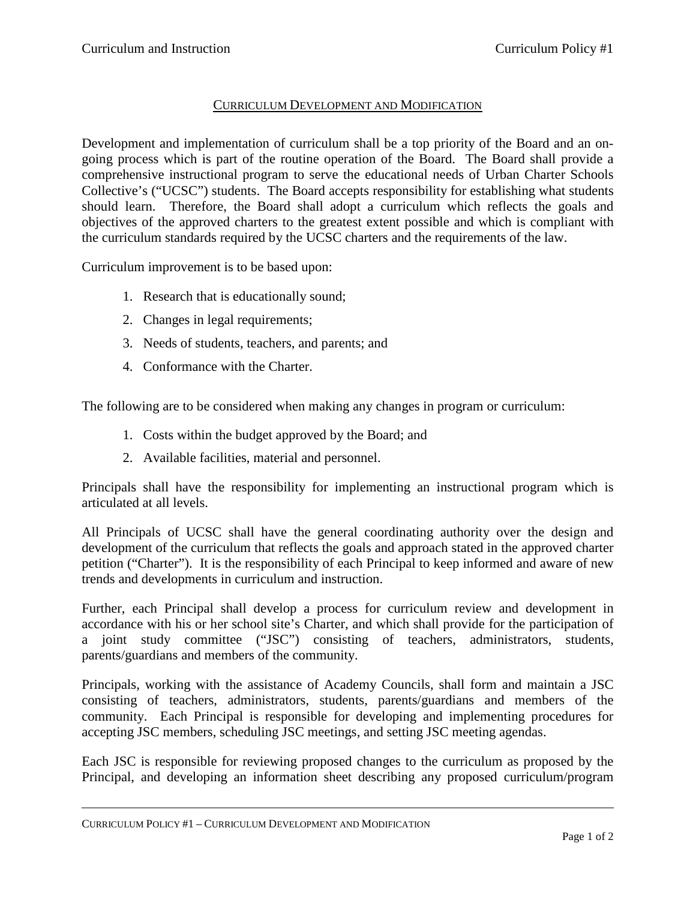## CURRICULUM DEVELOPMENT AND MODIFICATION

Development and implementation of curriculum shall be a top priority of the Board and an ongoing process which is part of the routine operation of the Board. The Board shall provide a comprehensive instructional program to serve the educational needs of Urban Charter Schools Collective's ("UCSC") students. The Board accepts responsibility for establishing what students should learn. Therefore, the Board shall adopt a curriculum which reflects the goals and objectives of the approved charters to the greatest extent possible and which is compliant with the curriculum standards required by the UCSC charters and the requirements of the law.

Curriculum improvement is to be based upon:

- 1. Research that is educationally sound;
- 2. Changes in legal requirements;
- 3. Needs of students, teachers, and parents; and
- 4. Conformance with the Charter.

The following are to be considered when making any changes in program or curriculum:

- 1. Costs within the budget approved by the Board; and
- 2. Available facilities, material and personnel.

Principals shall have the responsibility for implementing an instructional program which is articulated at all levels.

All Principals of UCSC shall have the general coordinating authority over the design and development of the curriculum that reflects the goals and approach stated in the approved charter petition ("Charter"). It is the responsibility of each Principal to keep informed and aware of new trends and developments in curriculum and instruction.

Further, each Principal shall develop a process for curriculum review and development in accordance with his or her school site's Charter, and which shall provide for the participation of a joint study committee ("JSC") consisting of teachers, administrators, students, parents/guardians and members of the community.

Principals, working with the assistance of Academy Councils, shall form and maintain a JSC consisting of teachers, administrators, students, parents/guardians and members of the community. Each Principal is responsible for developing and implementing procedures for accepting JSC members, scheduling JSC meetings, and setting JSC meeting agendas.

Each JSC is responsible for reviewing proposed changes to the curriculum as proposed by the Principal, and developing an information sheet describing any proposed curriculum/program

CURRICULUM POLICY #1 – CURRICULUM DEVELOPMENT AND MODIFICATION